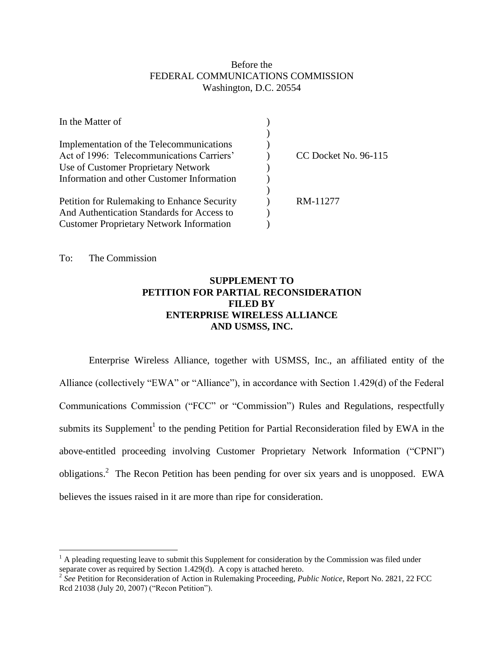# Before the FEDERAL COMMUNICATIONS COMMISSION Washington, D.C. 20554

| In the Matter of                                |                      |
|-------------------------------------------------|----------------------|
|                                                 |                      |
| Implementation of the Telecommunications        |                      |
| Act of 1996: Telecommunications Carriers'       | CC Docket No. 96-115 |
| Use of Customer Proprietary Network             |                      |
| Information and other Customer Information      |                      |
|                                                 |                      |
| Petition for Rulemaking to Enhance Security     | RM-11277             |
| And Authentication Standards for Access to      |                      |
| <b>Customer Proprietary Network Information</b> |                      |

To: The Commission

 $\overline{a}$ 

# **SUPPLEMENT TO PETITION FOR PARTIAL RECONSIDERATION FILED BY ENTERPRISE WIRELESS ALLIANCE AND USMSS, INC.**

Enterprise Wireless Alliance, together with USMSS, Inc., an affiliated entity of the Alliance (collectively "EWA" or "Alliance"), in accordance with Section 1.429(d) of the Federal Communications Commission ("FCC" or "Commission") Rules and Regulations, respectfully submits its Supplement<sup>1</sup> to the pending Petition for Partial Reconsideration filed by EWA in the above-entitled proceeding involving Customer Proprietary Network Information ("CPNI") obligations.<sup>2</sup> The Recon Petition has been pending for over six years and is unopposed. EWA believes the issues raised in it are more than ripe for consideration.

 $<sup>1</sup>$  A pleading requesting leave to submit this Supplement for consideration by the Commission was filed under</sup> separate cover as required by Section 1.429(d). A copy is attached hereto. 2 *See* Petition for Reconsideration of Action in Rulemaking Proceeding, *Public Notice*, Report No. 2821, 22 FCC

Rcd 21038 (July 20, 2007) ("Recon Petition").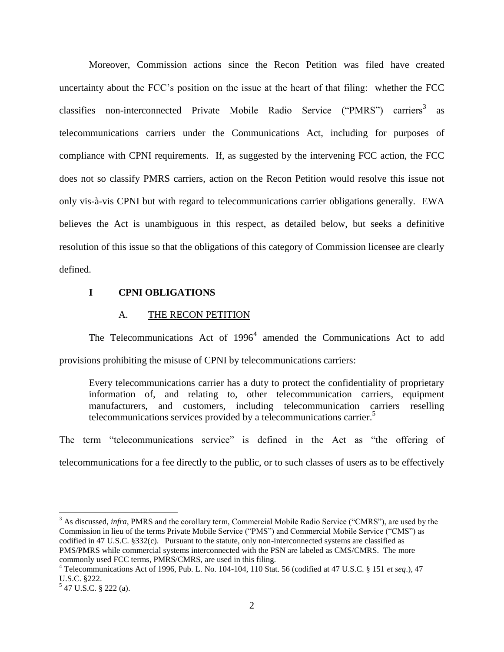Moreover, Commission actions since the Recon Petition was filed have created uncertainty about the FCC's position on the issue at the heart of that filing: whether the FCC classifies non-interconnected Private Mobile Radio Service ("PMRS") carriers<sup>3</sup> as telecommunications carriers under the Communications Act, including for purposes of compliance with CPNI requirements. If, as suggested by the intervening FCC action, the FCC does not so classify PMRS carriers, action on the Recon Petition would resolve this issue not only vis-à-vis CPNI but with regard to telecommunications carrier obligations generally. EWA believes the Act is unambiguous in this respect, as detailed below, but seeks a definitive resolution of this issue so that the obligations of this category of Commission licensee are clearly defined.

#### **I CPNI OBLIGATIONS**

#### A. THE RECON PETITION

The Telecommunications Act of  $1996<sup>4</sup>$  amended the Communications Act to add provisions prohibiting the misuse of CPNI by telecommunications carriers:

Every telecommunications carrier has a duty to protect the confidentiality of proprietary information of, and relating to, other telecommunication carriers, equipment manufacturers, and customers, including telecommunication carriers reselling telecommunications services provided by a telecommunications carrier. 5

The term "telecommunications service" is defined in the Act as "the offering of telecommunications for a fee directly to the public, or to such classes of users as to be effectively

<sup>3</sup> As discussed, *infra*, PMRS and the corollary term, Commercial Mobile Radio Service ("CMRS"), are used by the Commission in lieu of the terms Private Mobile Service ("PMS") and Commercial Mobile Service ("CMS") as codified in 47 U.S.C. §332(c). Pursuant to the statute, only non-interconnected systems are classified as PMS/PMRS while commercial systems interconnected with the PSN are labeled as CMS/CMRS. The more commonly used FCC terms, PMRS/CMRS, are used in this filing.

<sup>4</sup> Telecommunications Act of 1996, Pub. L. No. 104-104, 110 Stat. 56 (codified at 47 U.S.C. § 151 *et seq*.), 47 U.S.C. §222.

 $5$  47 U.S.C. § 222 (a).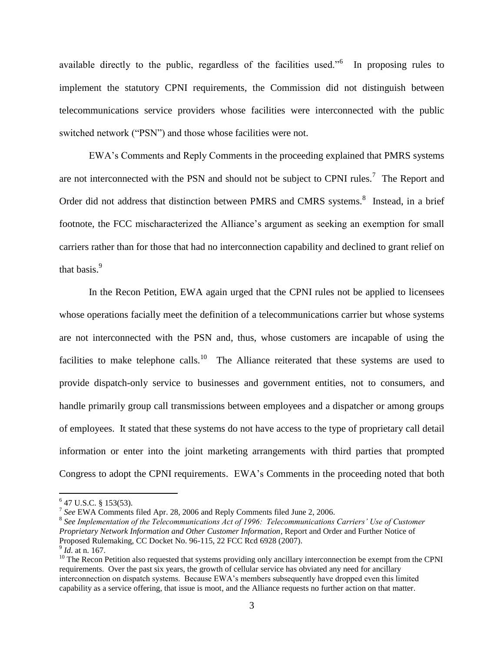available directly to the public, regardless of the facilities used."<sup>6</sup> In proposing rules to implement the statutory CPNI requirements, the Commission did not distinguish between telecommunications service providers whose facilities were interconnected with the public switched network ("PSN") and those whose facilities were not.

EWA's Comments and Reply Comments in the proceeding explained that PMRS systems are not interconnected with the PSN and should not be subject to CPNI rules.<sup>7</sup> The Report and Order did not address that distinction between PMRS and CMRS systems.<sup>8</sup> Instead, in a brief footnote, the FCC mischaracterized the Alliance's argument as seeking an exemption for small carriers rather than for those that had no interconnection capability and declined to grant relief on that basis.<sup>9</sup>

In the Recon Petition, EWA again urged that the CPNI rules not be applied to licensees whose operations facially meet the definition of a telecommunications carrier but whose systems are not interconnected with the PSN and, thus, whose customers are incapable of using the facilities to make telephone calls.<sup>10</sup> The Alliance reiterated that these systems are used to provide dispatch-only service to businesses and government entities, not to consumers, and handle primarily group call transmissions between employees and a dispatcher or among groups of employees. It stated that these systems do not have access to the type of proprietary call detail information or enter into the joint marketing arrangements with third parties that prompted Congress to adopt the CPNI requirements. EWA's Comments in the proceeding noted that both

 $6$  47 U.S.C. § 153(53).

<sup>7</sup> *See* EWA Comments filed Apr. 28, 2006 and Reply Comments filed June 2, 2006.

<sup>&</sup>lt;sup>8</sup> See Implementation of the Telecommunications Act of 1996: Telecommunications Carriers' Use of Customer *Proprietary Network Information and Other Customer Information*, Report and Order and Further Notice of Proposed Rulemaking, CC Docket No. 96-115, 22 FCC Rcd 6928 (2007).

<sup>9</sup> *Id*. at n. 167.

 $10$  The Recon Petition also requested that systems providing only ancillary interconnection be exempt from the CPNI requirements. Over the past six years, the growth of cellular service has obviated any need for ancillary interconnection on dispatch systems. Because EWA's members subsequently have dropped even this limited capability as a service offering, that issue is moot, and the Alliance requests no further action on that matter.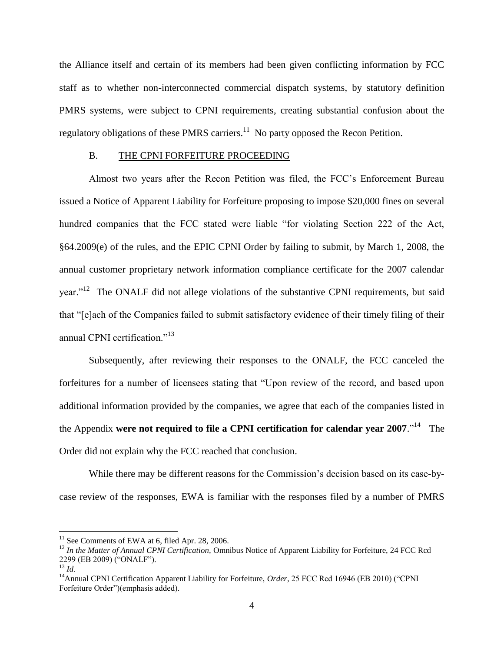the Alliance itself and certain of its members had been given conflicting information by FCC staff as to whether non-interconnected commercial dispatch systems, by statutory definition PMRS systems, were subject to CPNI requirements, creating substantial confusion about the regulatory obligations of these PMRS carriers.<sup>11</sup> No party opposed the Recon Petition.

## B. THE CPNI FORFEITURE PROCEEDING

Almost two years after the Recon Petition was filed, the FCC's Enforcement Bureau issued a Notice of Apparent Liability for Forfeiture proposing to impose \$20,000 fines on several hundred companies that the FCC stated were liable "for violating Section 222 of the Act, §64.2009(e) of the rules, and the EPIC CPNI Order by failing to submit, by March 1, 2008, the annual customer proprietary network information compliance certificate for the 2007 calendar year."<sup>12</sup> The ONALF did not allege violations of the substantive CPNI requirements, but said that "[e]ach of the Companies failed to submit satisfactory evidence of their timely filing of their annual CPNI certification."<sup>13</sup>

Subsequently, after reviewing their responses to the ONALF, the FCC canceled the forfeitures for a number of licensees stating that "Upon review of the record, and based upon additional information provided by the companies, we agree that each of the companies listed in the Appendix were not required to file a CPNI certification for calendar year 2007.<sup>''14</sup> The Order did not explain why the FCC reached that conclusion.

While there may be different reasons for the Commission's decision based on its case-bycase review of the responses, EWA is familiar with the responses filed by a number of PMRS

 $11$  See Comments of EWA at 6, filed Apr. 28, 2006.

<sup>&</sup>lt;sup>12</sup> In the Matter of Annual CPNI Certification, Omnibus Notice of Apparent Liability for Forfeiture, 24 FCC Rcd 2299 (EB 2009) ("ONALF").

<sup>13</sup> *Id.*

<sup>&</sup>lt;sup>14</sup>Annual CPNI Certification Apparent Liability for Forfeiture, *Order*, 25 FCC Rcd 16946 (EB 2010) ("CPNI Forfeiture Order")(emphasis added).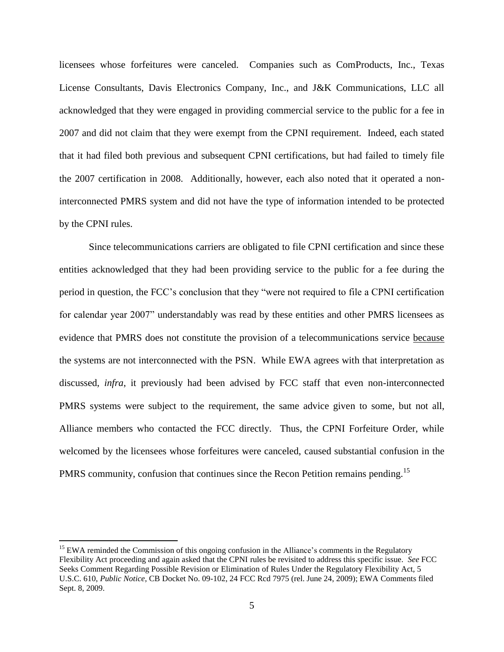licensees whose forfeitures were canceled. Companies such as ComProducts, Inc., Texas License Consultants, Davis Electronics Company, Inc., and J&K Communications, LLC all acknowledged that they were engaged in providing commercial service to the public for a fee in 2007 and did not claim that they were exempt from the CPNI requirement. Indeed, each stated that it had filed both previous and subsequent CPNI certifications, but had failed to timely file the 2007 certification in 2008. Additionally, however, each also noted that it operated a noninterconnected PMRS system and did not have the type of information intended to be protected by the CPNI rules.

Since telecommunications carriers are obligated to file CPNI certification and since these entities acknowledged that they had been providing service to the public for a fee during the period in question, the FCC's conclusion that they "were not required to file a CPNI certification for calendar year 2007" understandably was read by these entities and other PMRS licensees as evidence that PMRS does not constitute the provision of a telecommunications service because the systems are not interconnected with the PSN. While EWA agrees with that interpretation as discussed, *infra*, it previously had been advised by FCC staff that even non-interconnected PMRS systems were subject to the requirement, the same advice given to some, but not all, Alliance members who contacted the FCC directly. Thus, the CPNI Forfeiture Order, while welcomed by the licensees whose forfeitures were canceled, caused substantial confusion in the PMRS community, confusion that continues since the Recon Petition remains pending.<sup>15</sup>

<sup>&</sup>lt;sup>15</sup> EWA reminded the Commission of this ongoing confusion in the Alliance's comments in the Regulatory Flexibility Act proceeding and again asked that the CPNI rules be revisited to address this specific issue. *See* FCC Seeks Comment Regarding Possible Revision or Elimination of Rules Under the Regulatory Flexibility Act, 5 U.S.C. 610, *Public Notice*, CB Docket No. 09-102, 24 FCC Rcd 7975 (rel. June 24, 2009); EWA Comments filed Sept. 8, 2009.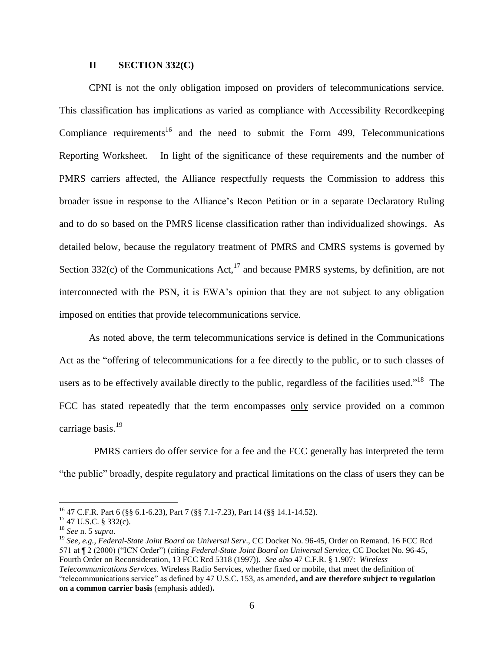### **II SECTION 332(C)**

CPNI is not the only obligation imposed on providers of telecommunications service. This classification has implications as varied as compliance with Accessibility Recordkeeping Compliance requirements<sup>16</sup> and the need to submit the Form 499, Telecommunications Reporting Worksheet. In light of the significance of these requirements and the number of PMRS carriers affected, the Alliance respectfully requests the Commission to address this broader issue in response to the Alliance's Recon Petition or in a separate Declaratory Ruling and to do so based on the PMRS license classification rather than individualized showings. As detailed below, because the regulatory treatment of PMRS and CMRS systems is governed by Section 332(c) of the Communications Act, $^{17}$  and because PMRS systems, by definition, are not interconnected with the PSN, it is EWA's opinion that they are not subject to any obligation imposed on entities that provide telecommunications service.

As noted above, the term telecommunications service is defined in the Communications Act as the "offering of telecommunications for a fee directly to the public, or to such classes of users as to be effectively available directly to the public, regardless of the facilities used."<sup>18</sup> The FCC has stated repeatedly that the term encompasses only service provided on a common carriage basis.<sup>19</sup>

 PMRS carriers do offer service for a fee and the FCC generally has interpreted the term "the public" broadly, despite regulatory and practical limitations on the class of users they can be

<sup>16</sup> 47 C.F.R. Part 6 (§§ 6.1-6.23), Part 7 (§§ 7.1-7.23), Part 14 (§§ 14.1-14.52).

 $17$  47 U.S.C. § 332(c).

<sup>18</sup> *See* n. 5 *supra*.

<sup>19</sup> *See, e.g., Federal-State Joint Board on Universal Serv*., CC Docket No. 96-45, Order on Remand. 16 FCC Rcd 571 at ¶ 2 (2000) ("ICN Order") (citing *Federal-State Joint Board on Universal Service*, CC Docket No. 96-45, Fourth Order on Reconsideration, 13 FCC Rcd 5318 (1997)). *See also* 47 C.F.R. § 1.907: *Wireless Telecommunications Services*. Wireless Radio Services, whether fixed or mobile, that meet the definition of "telecommunications service" as defined by 47 U.S.C. 153, as amended**, and are therefore subject to regulation on a common carrier basis** (emphasis added)**.**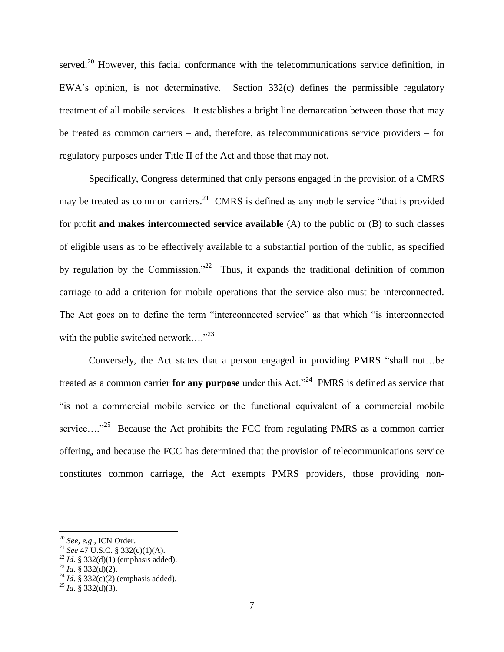served.<sup>20</sup> However, this facial conformance with the telecommunications service definition, in EWA's opinion, is not determinative. Section 332(c) defines the permissible regulatory treatment of all mobile services. It establishes a bright line demarcation between those that may be treated as common carriers – and, therefore, as telecommunications service providers – for regulatory purposes under Title II of the Act and those that may not.

Specifically, Congress determined that only persons engaged in the provision of a CMRS may be treated as common carriers.<sup>21</sup> CMRS is defined as any mobile service "that is provided for profit **and makes interconnected service available** (A) to the public or (B) to such classes of eligible users as to be effectively available to a substantial portion of the public, as specified by regulation by the Commission."<sup>22</sup> Thus, it expands the traditional definition of common carriage to add a criterion for mobile operations that the service also must be interconnected. The Act goes on to define the term "interconnected service" as that which "is interconnected with the public switched network...."<sup>23</sup>

Conversely, the Act states that a person engaged in providing PMRS "shall not…be treated as a common carrier **for any purpose** under this Act."<sup>24</sup> PMRS is defined as service that "is not a commercial mobile service or the functional equivalent of a commercial mobile service...."<sup>25</sup> Because the Act prohibits the FCC from regulating PMRS as a common carrier offering, and because the FCC has determined that the provision of telecommunications service constitutes common carriage, the Act exempts PMRS providers, those providing non-

<sup>20</sup> *See, e.g*., ICN Order.

<sup>21</sup> *See* 47 U.S.C. § 332(c)(1)(A).

 $^{22}$  *Id.* § 332(d)(1) (emphasis added).

 $^{23}$  *Id.* § 332(d)(2).

<sup>&</sup>lt;sup>24</sup> *Id.* § 332(c)(2) (emphasis added).

 $^{25}$  *Id.* § 332(d)(3).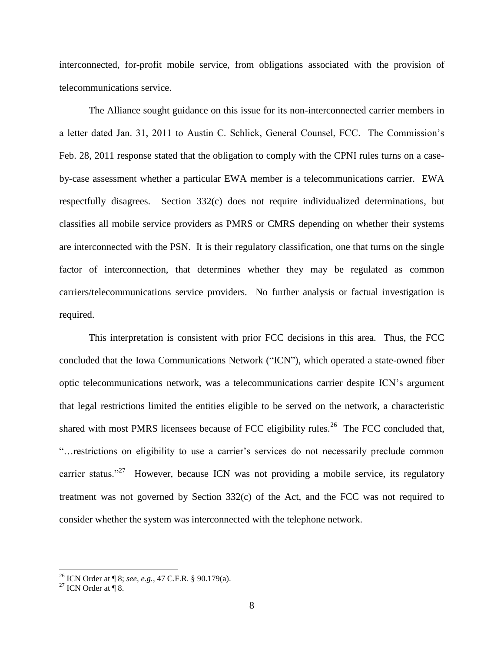interconnected, for-profit mobile service, from obligations associated with the provision of telecommunications service.

The Alliance sought guidance on this issue for its non-interconnected carrier members in a letter dated Jan. 31, 2011 to Austin C. Schlick, General Counsel, FCC. The Commission's Feb. 28, 2011 response stated that the obligation to comply with the CPNI rules turns on a caseby-case assessment whether a particular EWA member is a telecommunications carrier. EWA respectfully disagrees. Section 332(c) does not require individualized determinations, but classifies all mobile service providers as PMRS or CMRS depending on whether their systems are interconnected with the PSN. It is their regulatory classification, one that turns on the single factor of interconnection, that determines whether they may be regulated as common carriers/telecommunications service providers. No further analysis or factual investigation is required.

This interpretation is consistent with prior FCC decisions in this area. Thus, the FCC concluded that the Iowa Communications Network ("ICN"), which operated a state-owned fiber optic telecommunications network, was a telecommunications carrier despite ICN's argument that legal restrictions limited the entities eligible to be served on the network, a characteristic shared with most PMRS licensees because of FCC eligibility rules.<sup>26</sup> The FCC concluded that, "…restrictions on eligibility to use a carrier's services do not necessarily preclude common carrier status."<sup>27</sup> However, because ICN was not providing a mobile service, its regulatory treatment was not governed by Section 332(c) of the Act, and the FCC was not required to consider whether the system was interconnected with the telephone network.

<sup>26</sup> ICN Order at ¶ 8; *see, e.g.,* 47 C.F.R. § 90.179(a).

<sup>&</sup>lt;sup>27</sup> ICN Order at  $\parallel$  8.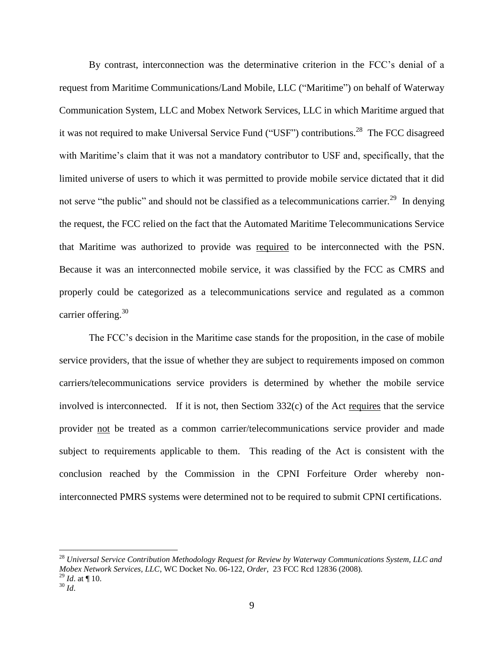By contrast, interconnection was the determinative criterion in the FCC's denial of a request from Maritime Communications/Land Mobile, LLC ("Maritime") on behalf of Waterway Communication System, LLC and Mobex Network Services, LLC in which Maritime argued that it was not required to make Universal Service Fund ("USF") contributions.<sup>28</sup> The FCC disagreed with Maritime's claim that it was not a mandatory contributor to USF and, specifically, that the limited universe of users to which it was permitted to provide mobile service dictated that it did not serve "the public" and should not be classified as a telecommunications carrier.<sup>29</sup> In denying the request, the FCC relied on the fact that the Automated Maritime Telecommunications Service that Maritime was authorized to provide was required to be interconnected with the PSN. Because it was an interconnected mobile service, it was classified by the FCC as CMRS and properly could be categorized as a telecommunications service and regulated as a common carrier offering. $30$ 

The FCC's decision in the Maritime case stands for the proposition, in the case of mobile service providers, that the issue of whether they are subject to requirements imposed on common carriers/telecommunications service providers is determined by whether the mobile service involved is interconnected. If it is not, then Sectiom 332(c) of the Act requires that the service provider not be treated as a common carrier/telecommunications service provider and made subject to requirements applicable to them. This reading of the Act is consistent with the conclusion reached by the Commission in the CPNI Forfeiture Order whereby noninterconnected PMRS systems were determined not to be required to submit CPNI certifications.

<sup>28</sup> *Universal Service Contribution Methodology Request for Review by Waterway Communications System, LLC and Mobex Network Services, LLC*, WC Docket No. 06-122, *Order*, 23 FCC Rcd 12836 (2008).  $^{29}$  *Id.* at ¶ 10.

 $30$  *Id.*